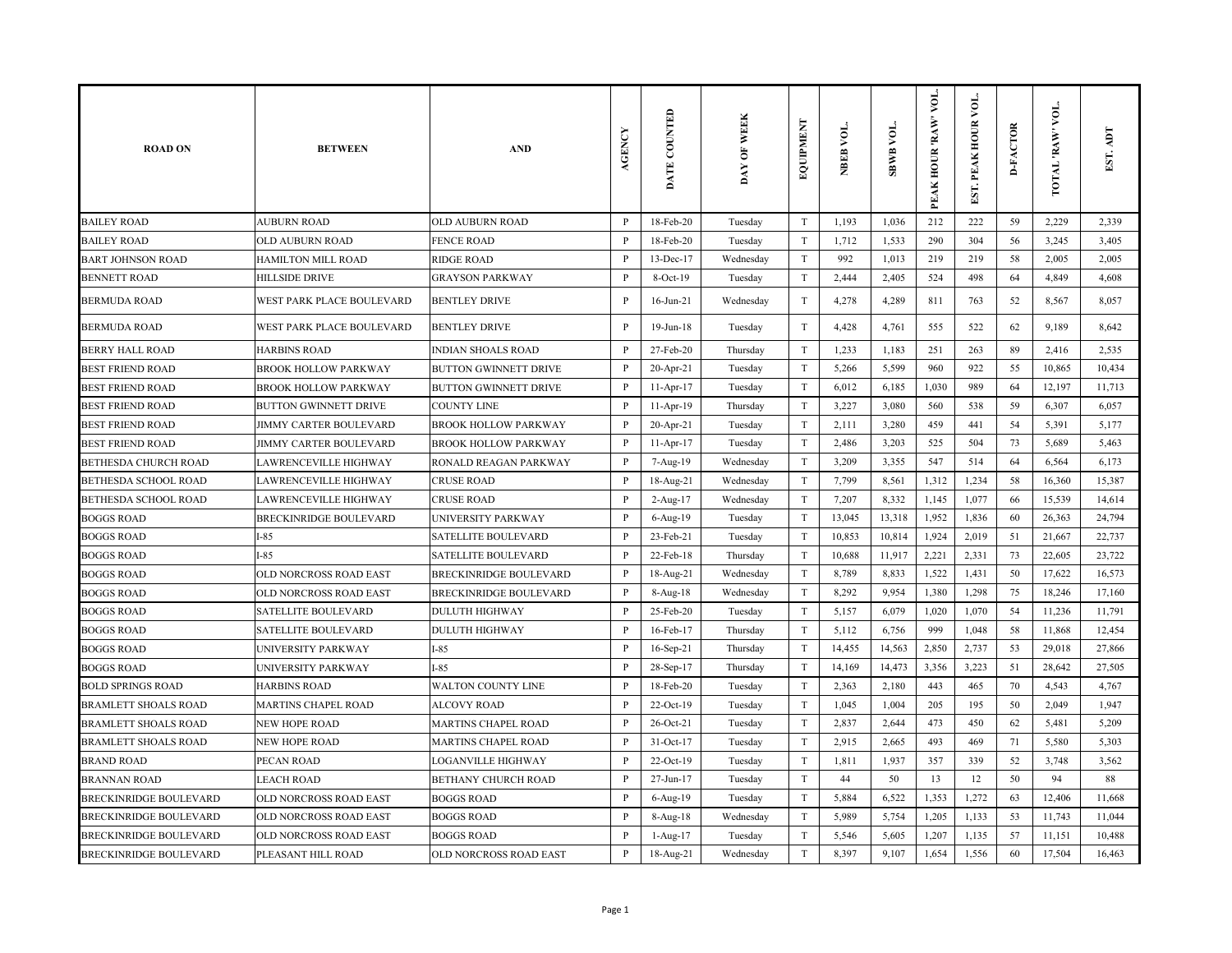| <b>ROAD ON</b>                | <b>BETWEEN</b>                | <b>AND</b>                    | <b>AGENCY</b>  | DATE COUNTED | DAY OF WEEK | EQUIPMENT                 | NBEB VOL | SBWB VOL. | VOL.<br>PEAK HOUR 'RAW' | EST. PEAK HOUR VOL | <b>D-FACTOR</b> | TOTAL RAW VOL. | EST. ADT |
|-------------------------------|-------------------------------|-------------------------------|----------------|--------------|-------------|---------------------------|----------|-----------|-------------------------|--------------------|-----------------|----------------|----------|
| <b>BAILEY ROAD</b>            | <b>AUBURN ROAD</b>            | <b>OLD AUBURN ROAD</b>        | P              | 18-Feb-20    | Tuesday     | T                         | 1,193    | 1,036     | 212                     | 222                | 59              | 2,229          | 2,339    |
| <b>BAILEY ROAD</b>            | OLD AUBURN ROAD               | <b>FENCE ROAD</b>             | P              | 18-Feb-20    | Tuesday     | T                         | 1,712    | 1,533     | 290                     | 304                | 56              | 3,245          | 3,405    |
| <b>BART JOHNSON ROAD</b>      | HAMILTON MILL ROAD            | <b>RIDGE ROAD</b>             | P              | $13$ -Dec-17 | Wednesday   | T                         | 992      | 1,013     | 219                     | 219                | 58              | 2,005          | 2,005    |
| <b>BENNETT ROAD</b>           | <b>HILLSIDE DRIVE</b>         | <b>GRAYSON PARKWAY</b>        | P              | 8-Oct-19     | Tuesday     | $\ensuremath{\mathrm{T}}$ | 2,444    | 2,405     | 524                     | 498                | 64              | 4,849          | 4,608    |
| <b>BERMUDA ROAD</b>           | WEST PARK PLACE BOULEVARD     | <b>BENTLEY DRIVE</b>          | $\overline{P}$ | $16$ -Jun-21 | Wednesday   | $\ensuremath{\mathrm{T}}$ | 4,278    | 4,289     | 811                     | 763                | 52              | 8,567          | 8,057    |
| <b>BERMUDA ROAD</b>           | WEST PARK PLACE BOULEVARD     | <b>BENTLEY DRIVE</b>          | $\, {\bf P}$   | 19-Jun-18    | Tuesday     | $\ensuremath{\mathrm{T}}$ | 4,428    | 4,761     | 555                     | 522                | 62              | 9,189          | 8,642    |
| <b>BERRY HALL ROAD</b>        | <b>HARBINS ROAD</b>           | <b>INDIAN SHOALS ROAD</b>     | $\, {\bf P}$   | 27-Feb-20    | Thursday    | $\mathbf T$               | 1,233    | 1,183     | 251                     | 263                | 89              | 2,416          | 2,535    |
| <b>BEST FRIEND ROAD</b>       | <b>BROOK HOLLOW PARKWAY</b>   | <b>BUTTON GWINNETT DRIVE</b>  | $\mathbf{P}$   | 20-Apr-21    | Tuesday     | T                         | 5,266    | 5,599     | 960                     | 922                | 55              | 10,865         | 10,434   |
| <b>BEST FRIEND ROAD</b>       | <b>BROOK HOLLOW PARKWAY</b>   | BUTTON GWINNETT DRIVE         | $\mathbf{P}$   | 11-Apr-17    | Tuesday     | T                         | 6,012    | 6,185     | 1,030                   | 989                | 64              | 12,197         | 11,713   |
| <b>BEST FRIEND ROAD</b>       | <b>BUTTON GWINNETT DRIVE</b>  | <b>COUNTY LINE</b>            | P              | 11-Apr-19    | Thursday    | T                         | 3,227    | 3,080     | 560                     | 538                | 59              | 6,307          | 6,057    |
| <b>BEST FRIEND ROAD</b>       | <b>JIMMY CARTER BOULEVARD</b> | <b>BROOK HOLLOW PARKWAY</b>   | P              | 20-Apr-21    | Tuesday     | $\mathbf T$               | 2,111    | 3,280     | 459                     | 441                | 54              | 5,391          | 5,177    |
| <b>BEST FRIEND ROAD</b>       | <b>JIMMY CARTER BOULEVARD</b> | <b>BROOK HOLLOW PARKWAY</b>   | $\, {\bf P}$   | 11-Apr-17    | Tuesday     | $\mathbf T$               | 2,486    | 3,203     | 525                     | 504                | 73              | 5,689          | 5,463    |
| <b>BETHESDA CHURCH ROAD</b>   | LAWRENCEVILLE HIGHWAY         | RONALD REAGAN PARKWAY         | P              | 7-Aug-19     | Wednesday   | $\ensuremath{\mathrm{T}}$ | 3,209    | 3,355     | 547                     | 514                | 64              | 6,564          | 6,173    |
| <b>BETHESDA SCHOOL ROAD</b>   | LAWRENCEVILLE HIGHWAY         | <b>CRUSE ROAD</b>             | $\mathbf{P}$   | 18-Aug-21    | Wednesday   | T                         | 7,799    | 8,561     | 1,312                   | 1,234              | 58              | 16,360         | 15,387   |
| <b>BETHESDA SCHOOL ROAD</b>   | LAWRENCEVILLE HIGHWAY         | <b>CRUSE ROAD</b>             | P              | 2-Aug-17     | Wednesday   | T                         | 7,207    | 8,332     | 1,145                   | 1,077              | 66              | 15,539         | 14,614   |
| <b>BOGGS ROAD</b>             | <b>BRECKINRIDGE BOULEVARD</b> | UNIVERSITY PARKWAY            | $\mathbf{P}$   | 6-Aug-19     | Tuesday     | T                         | 13,045   | 13,318    | 1,952                   | 1,836              | 60              | 26,363         | 24,794   |
| <b>BOGGS ROAD</b>             | I-85                          | <b>SATELLITE BOULEVARD</b>    | $\mathbf{P}$   | 23-Feb-21    | Tuesday     | T                         | 10,853   | 10,814    | 1,924                   | 2,019              | 51              | 21,667         | 22,737   |
| <b>BOGGS ROAD</b>             | $I-85$                        | SATELLITE BOULEVARD           | $\mathbf{P}$   | 22-Feb-18    | Thursday    | $\ensuremath{\mathrm{T}}$ | 10,688   | 11,917    | 2,221                   | 2,331              | 73              | 22,605         | 23,722   |
| <b>BOGGS ROAD</b>             | OLD NORCROSS ROAD EAST        | <b>BRECKINRIDGE BOULEVARD</b> | P              | 18-Aug-21    | Wednesday   | $\mathbf T$               | 8,789    | 8,833     | 1,522                   | 1,431              | 50              | 17,622         | 16,573   |
| <b>BOGGS ROAD</b>             | OLD NORCROSS ROAD EAST        | BRECKINRIDGE BOULEVARD        | P              | 8-Aug-18     | Wednesday   | $\rm T$                   | 8,292    | 9,954     | 1,380                   | 1,298              | 75              | 18,246         | 17,160   |
| <b>BOGGS ROAD</b>             | SATELLITE BOULEVARD           | <b>DULUTH HIGHWAY</b>         | $\mathbf{P}$   | 25-Feb-20    | Tuesday     | T                         | 5,157    | 6,079     | 1,020                   | 1,070              | 54              | 11,236         | 11,791   |
| <b>BOGGS ROAD</b>             | SATELLITE BOULEVARD           | <b>DULUTH HIGHWAY</b>         | $\mathbf{P}$   | 16-Feb-17    | Thursday    | T                         | 5,112    | 6,756     | 999                     | 1,048              | 58              | 11,868         | 12,454   |
| <b>BOGGS ROAD</b>             | UNIVERSITY PARKWAY            | $I-85$                        | $\mathbf{P}$   | 16-Sep-21    | Thursday    | T                         | 14,455   | 14,563    | 2,850                   | 2,737              | 53              | 29,018         | 27,866   |
| <b>BOGGS ROAD</b>             | UNIVERSITY PARKWAY            | $I-85$                        | P              | 28-Sep-17    | Thursday    | T                         | 14,169   | 14,473    | 3,356                   | 3,223              | 51              | 28,642         | 27,505   |
| <b>BOLD SPRINGS ROAD</b>      | <b>HARBINS ROAD</b>           | WALTON COUNTY LINE            | P              | 18-Feb-20    | Tuesday     | $\ensuremath{\mathrm{T}}$ | 2,363    | 2,180     | 443                     | 465                | 70              | 4,543          | 4,767    |
| <b>BRAMLETT SHOALS ROAD</b>   | <b>MARTINS CHAPEL ROAD</b>    | <b>ALCOVY ROAD</b>            | $\mathbf{P}$   | $22$ -Oct-19 | Tuesday     | $\ensuremath{\mathrm{T}}$ | 1,045    | 1,004     | 205                     | 195                | 50              | 2,049          | 1,947    |
| <b>BRAMLETT SHOALS ROAD</b>   | <b>NEW HOPE ROAD</b>          | MARTINS CHAPEL ROAD           | $\mathbf{P}$   | 26-Oct-21    | Tuesday     | $\ensuremath{\mathrm{T}}$ | 2,837    | 2,644     | 473                     | 450                | 62              | 5,481          | 5,209    |
| <b>BRAMLETT SHOALS ROAD</b>   | NEW HOPE ROAD                 | MARTINS CHAPEL ROAD           | $\mathbf{P}$   | 31-Oct-17    | Tuesday     | T                         | 2,915    | 2,665     | 493                     | 469                | 71              | 5,580          | 5,303    |
| <b>BRAND ROAD</b>             | PECAN ROAD                    | <b>LOGANVILLE HIGHWAY</b>     | $\mathbf{P}$   | $22$ -Oct-19 | Tuesday     | T                         | 1,811    | 1,937     | 357                     | 339                | 52              | 3,748          | 3,562    |
| <b>BRANNAN ROAD</b>           | <b>LEACH ROAD</b>             | BETHANY CHURCH ROAD           | $\mathbf{P}$   | 27-Jun-17    | Tuesday     | T                         | 44       | 50        | 13                      | 12                 | 50              | 94             | 88       |
| <b>BRECKINRIDGE BOULEVARD</b> | OLD NORCROSS ROAD EAST        | <b>BOGGS ROAD</b>             | P              | 6-Aug-19     | Tuesday     | T                         | 5,884    | 6,522     | 1,353                   | 1,272              | 63              | 12,406         | 11,668   |
| <b>BRECKINRIDGE BOULEVARD</b> | OLD NORCROSS ROAD EAST        | <b>BOGGS ROAD</b>             | $\, {\bf P}$   | 8-Aug-18     | Wednesday   | $\rm T$                   | 5,989    | 5,754     | 1,205                   | 1,133              | 53              | 11,743         | 11,044   |
| <b>BRECKINRIDGE BOULEVARD</b> | OLD NORCROSS ROAD EAST        | <b>BOGGS ROAD</b>             | P              | 1-Aug-17     | Tuesday     | $\ensuremath{\mathrm{T}}$ | 5,546    | 5,605     | 1,207                   | 1,135              | 57              | 11,151         | 10,488   |
| <b>BRECKINRIDGE BOULEVARD</b> | PLEASANT HILL ROAD            | OLD NORCROSS ROAD EAST        | $\, {\bf P}$   | 18-Aug-21    | Wednesday   | $\ensuremath{\mathrm{T}}$ | 8,397    | 9,107     | 1,654                   | 1,556              | 60              | 17,504         | 16,463   |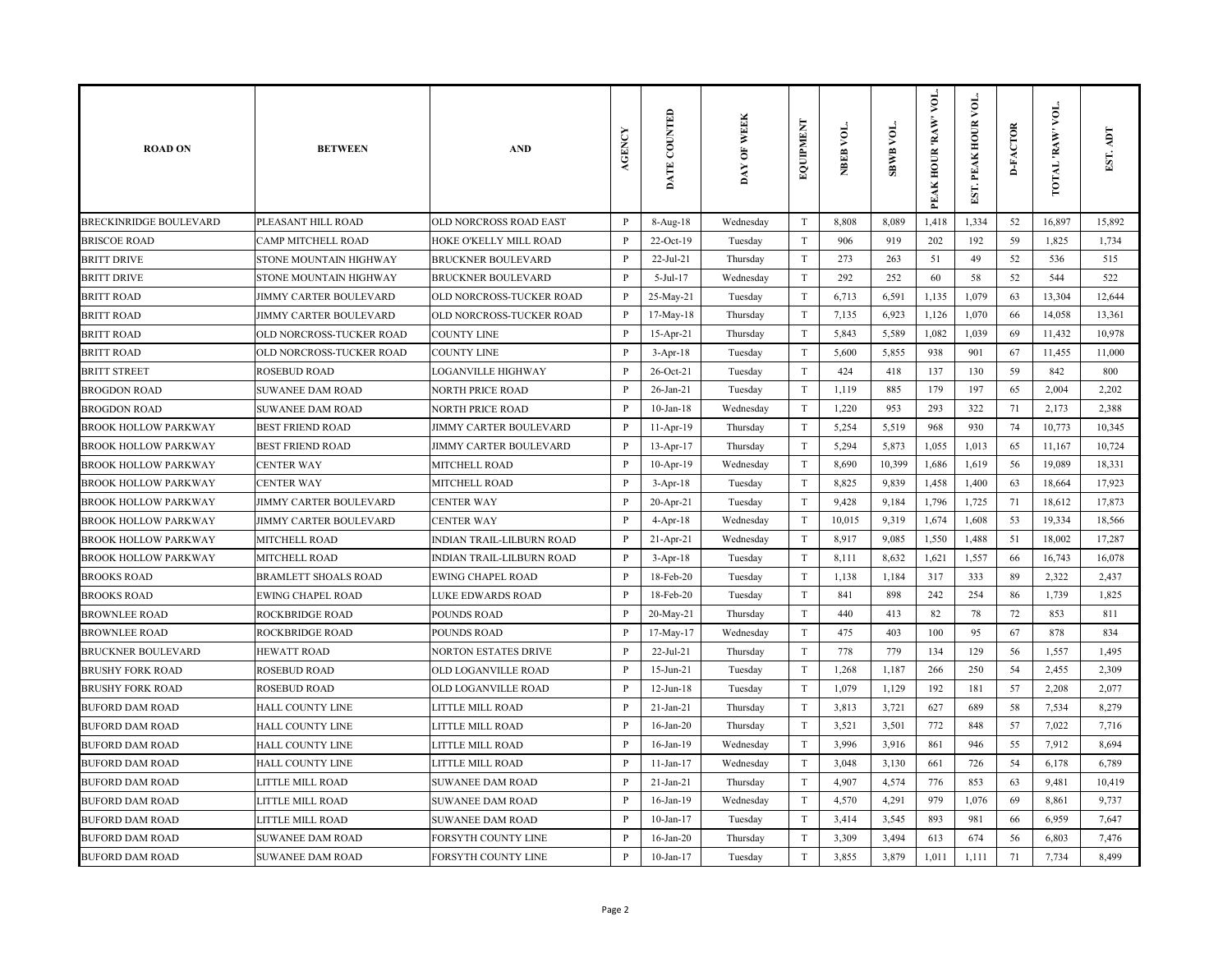| <b>ROAD ON</b>                | <b>BETWEEN</b>                | <b>AND</b>                       | <b>AGENCY</b> | DATE COUNTED    | DAY OF WEEK | EQUIPMENT                 | NBEB VOL. | SBWB VOL. | VOL.<br>PEAK HOUR 'RAW' | EST. PEAK HOUR VOI | <b>D-FACTOR</b> | TOTAL 'RAW' VOL. | Ę<br>EST. |
|-------------------------------|-------------------------------|----------------------------------|---------------|-----------------|-------------|---------------------------|-----------|-----------|-------------------------|--------------------|-----------------|------------------|-----------|
| <b>BRECKINRIDGE BOULEVARD</b> | PLEASANT HILL ROAD            | OLD NORCROSS ROAD EAST           | $\mathbf{P}$  | 8-Aug-18        | Wednesday   | T                         | 8,808     | 8,089     | 1,418                   | 1,334              | 52              | 16,897           | 15,892    |
| <b>BRISCOE ROAD</b>           | CAMP MITCHELL ROAD            | HOKE O'KELLY MILL ROAD           | P             | 22-Oct-19       | Tuesday     | T                         | 906       | 919       | 202                     | 192                | 59              | 1,825            | 1,734     |
| <b>BRITT DRIVE</b>            | STONE MOUNTAIN HIGHWAY        | <b>BRUCKNER BOULEVARD</b>        | $\mathbf{P}$  | 22-Jul-21       | Thursday    | T                         | 273       | 263       | 51                      | 49                 | 52              | 536              | 515       |
| <b>BRITT DRIVE</b>            | STONE MOUNTAIN HIGHWAY        | <b>BRUCKNER BOULEVARD</b>        | $\mathbf{P}$  | 5-Jul-17        | Wednesday   | T                         | 292       | 252       | 60                      | 58                 | 52              | 544              | 522       |
| <b>BRITT ROAD</b>             | <b>JIMMY CARTER BOULEVARD</b> | OLD NORCROSS-TUCKER ROAD         | $\mathbf{P}$  | 25-May-21       | Tuesday     | $\mathbf T$               | 6,713     | 6,591     | 1,135                   | 1,079              | 63              | 13,304           | 12,644    |
| <b>BRITT ROAD</b>             | JIMMY CARTER BOULEVARD        | OLD NORCROSS-TUCKER ROAD         | $\, {\bf P}$  | 17-May-18       | Thursday    | $\ensuremath{\mathrm{T}}$ | 7,135     | 6,923     | 1,126                   | 1,070              | 66              | 14,058           | 13,361    |
| <b>BRITT ROAD</b>             | OLD NORCROSS-TUCKER ROAD      | <b>COUNTY LINE</b>               | $\mathbf{P}$  | $15$ -Apr-21    | Thursday    | T                         | 5,843     | 5,589     | 1,082                   | 1,039              | 69              | 11,432           | 10,978    |
| <b>BRITT ROAD</b>             | OLD NORCROSS-TUCKER ROAD      | <b>COUNTY LINE</b>               | $\mathbf{P}$  | $3-Apr-18$      | Tuesday     | T                         | 5,600     | 5,855     | 938                     | 901                | 67              | 11,455           | 11,000    |
| <b>BRITT STREET</b>           | <b>ROSEBUD ROAD</b>           | <b>LOGANVILLE HIGHWAY</b>        | $\mathbf{P}$  | $26$ -Oct-21    | Tuesday     | T                         | 424       | 418       | 137                     | 130                | 59              | 842              | 800       |
| <b>BROGDON ROAD</b>           | <b>SUWANEE DAM ROAD</b>       | <b>NORTH PRICE ROAD</b>          | $\, {\bf P}$  | 26-Jan-21       | Tuesday     | $\ensuremath{\mathrm{T}}$ | 1,119     | 885       | 179                     | 197                | 65              | 2,004            | 2,202     |
| <b>BROGDON ROAD</b>           | <b>SUWANEE DAM ROAD</b>       | <b>NORTH PRICE ROAD</b>          | P             | $10$ -Jan- $18$ | Wednesday   | T                         | 1,220     | 953       | 293                     | 322                | 71              | 2,173            | 2,388     |
| <b>BROOK HOLLOW PARKWAY</b>   | <b>BEST FRIEND ROAD</b>       | <b>JIMMY CARTER BOULEVARD</b>    | $\, {\bf P}$  | $11-Apr-19$     | Thursday    | T                         | 5,254     | 5,519     | 968                     | 930                | 74              | 10,773           | 10,345    |
| <b>BROOK HOLLOW PARKWAY</b>   | <b>BEST FRIEND ROAD</b>       | <b>JIMMY CARTER BOULEVARD</b>    | $\mathbf{P}$  | $13$ -Apr-17    | Thursday    | $\ensuremath{\mathrm{T}}$ | 5,294     | 5,873     | 1,055                   | 1,013              | 65              | 11,167           | 10,724    |
| <b>BROOK HOLLOW PARKWAY</b>   | <b>CENTER WAY</b>             | <b>MITCHELL ROAD</b>             | $\, {\bf p}$  | 10-Apr-19       | Wednesday   | $\mathbf T$               | 8,690     | 10,399    | 1,686                   | 1,619              | 56              | 19,089           | 18,331    |
| <b>BROOK HOLLOW PARKWAY</b>   | <b>CENTER WAY</b>             | <b>MITCHELL ROAD</b>             | $\, {\bf p}$  | $3-Apr-18$      | Tuesday     | $\mathbf T$               | 8,825     | 9,839     | 1,458                   | 1,400              | 63              | 18,664           | 17,923    |
| <b>BROOK HOLLOW PARKWAY</b>   | <b>JIMMY CARTER BOULEVARD</b> | <b>CENTER WAY</b>                | $\mathbf{P}$  | 20-Apr-21       | Tuesday     | $\mathbf T$               | 9,428     | 9,184     | 1,796                   | 1,725              | 71              | 18,612           | 17,873    |
| <b>BROOK HOLLOW PARKWAY</b>   | <b>JIMMY CARTER BOULEVARD</b> | <b>CENTER WAY</b>                | $\mathbf{P}$  | $4 - Apr-18$    | Wednesday   | T                         | 10,015    | 9,319     | 1,674                   | 1,608              | 53              | 19,334           | 18,566    |
| <b>BROOK HOLLOW PARKWAY</b>   | MITCHELL ROAD                 | INDIAN TRAIL-LILBURN ROAD        | $\mathbf{P}$  | 21-Apr-21       | Wednesday   | T                         | 8,917     | 9,085     | 1,550                   | 1,488              | 51              | 18,002           | 17,287    |
| <b>BROOK HOLLOW PARKWAY</b>   | <b>MITCHELL ROAD</b>          | <b>INDIAN TRAIL-LILBURN ROAD</b> | $\, {\bf P}$  | $3-Apr-18$      | Tuesday     | T                         | 8,111     | 8,632     | 1,621                   | 1,557              | 66              | 16,743           | 16,078    |
| <b>BROOKS ROAD</b>            | <b>BRAMLETT SHOALS ROAD</b>   | <b>EWING CHAPEL ROAD</b>         | $\mathbf{P}$  | 18-Feb-20       | Tuesday     | $\ensuremath{\mathrm{T}}$ | 1,138     | 1,184     | 317                     | 333                | 89              | 2,322            | 2,437     |
| <b>BROOKS ROAD</b>            | <b>EWING CHAPEL ROAD</b>      | LUKE EDWARDS ROAD                | $\mathbf{P}$  | 18-Feb-20       | Tuesday     | $\ensuremath{\mathrm{T}}$ | 841       | 898       | 242                     | 254                | 86              | 1,739            | 1,825     |
| <b>BROWNLEE ROAD</b>          | <b>ROCKBRIDGE ROAD</b>        | <b>POUNDS ROAD</b>               | $\mathbf{P}$  | 20-May-21       | Thursday    | T                         | 440       | 413       | 82                      | 78                 | 72              | 853              | 811       |
| <b>BROWNLEE ROAD</b>          | <b>ROCKBRIDGE ROAD</b>        | <b>POUNDS ROAD</b>               | $\mathbf{P}$  | 17-May-17       | Wednesday   | T                         | 475       | 403       | 100                     | 95                 | 67              | 878              | 834       |
| <b>BRUCKNER BOULEVARD</b>     | <b>HEWATT ROAD</b>            | <b>NORTON ESTATES DRIVE</b>      | $\, {\bf P}$  | 22-Jul-21       | Thursday    | T                         | 778       | 779       | 134                     | 129                | 56              | 1,557            | 1,495     |
| <b>BRUSHY FORK ROAD</b>       | <b>ROSEBUD ROAD</b>           | OLD LOGANVILLE ROAD              | $\mathbf{P}$  | $15$ -Jun-21    | Tuesday     | T                         | 1,268     | 1,187     | 266                     | 250                | 54              | 2,455            | 2,309     |
| <b>BRUSHY FORK ROAD</b>       | <b>ROSEBUD ROAD</b>           | OLD LOGANVILLE ROAD              | $\mathbf{P}$  | $12$ -Jun- $18$ | Tuesday     | T                         | 1,079     | 1,129     | 192                     | 181                | 57              | 2,208            | 2,077     |
| <b>BUFORD DAM ROAD</b>        | <b>HALL COUNTY LINE</b>       | LITTLE MILL ROAD                 | P             | $21-Ian-21$     | Thursday    | T                         | 3,813     | 3,721     | 627                     | 689                | 58              | 7,534            | 8,279     |
| <b>BUFORD DAM ROAD</b>        | HALL COUNTY LINE              | LITTLE MILL ROAD                 | $\mathbf{P}$  | $16$ -Jan-20    | Thursday    | $\ensuremath{\mathrm{T}}$ | 3,521     | 3,501     | 772                     | 848                | 57              | 7,022            | 7,716     |
| <b>BUFORD DAM ROAD</b>        | <b>HALL COUNTY LINE</b>       | LITTLE MILL ROAD                 | P             | $16$ -Jan- $19$ | Wednesday   | T                         | 3,996     | 3,916     | 861                     | 946                | 55              | 7,912            | 8,694     |
| <b>BUFORD DAM ROAD</b>        | HALL COUNTY LINE              | LITTLE MILL ROAD                 | $\, {\bf p}$  | $11$ -Jan- $17$ | Wednesday   | $\ensuremath{\mathrm{T}}$ | 3,048     | 3,130     | 661                     | 726                | 54              | 6,178            | 6,789     |
| <b>BUFORD DAM ROAD</b>        | LITTLE MILL ROAD              | <b>SUWANEE DAM ROAD</b>          | P             | $21-Jan-21$     | Thursday    | T                         | 4,907     | 4,574     | 776                     | 853                | 63              | 9,481            | 10,419    |
| <b>BUFORD DAM ROAD</b>        | LITTLE MILL ROAD              | <b>SUWANEE DAM ROAD</b>          | $\mathbf{P}$  | 16-Jan-19       | Wednesday   | T                         | 4,570     | 4,291     | 979                     | 1,076              | 69              | 8,861            | 9,737     |
| <b>BUFORD DAM ROAD</b>        | LITTLE MILL ROAD              | <b>SUWANEE DAM ROAD</b>          | $\mathbf{P}$  | $10$ -Jan- $17$ | Tuesday     | T                         | 3,414     | 3,545     | 893                     | 981                | 66              | 6,959            | 7,647     |
| <b>BUFORD DAM ROAD</b>        | SUWANEE DAM ROAD              | FORSYTH COUNTY LINE              | $\mathbf{P}$  | $16$ -Jan- $20$ | Thursday    | $\ensuremath{\mathrm{T}}$ | 3,309     | 3,494     | 613                     | 674                | 56              | 6,803            | 7,476     |
| <b>BUFORD DAM ROAD</b>        | <b>SUWANEE DAM ROAD</b>       | FORSYTH COUNTY LINE              | $\mathbf{P}$  | $10$ -Jan- $17$ | Tuesday     | T                         | 3,855     | 3,879     | 1,011                   | 1,111              | 71              | 7,734            | 8.499     |